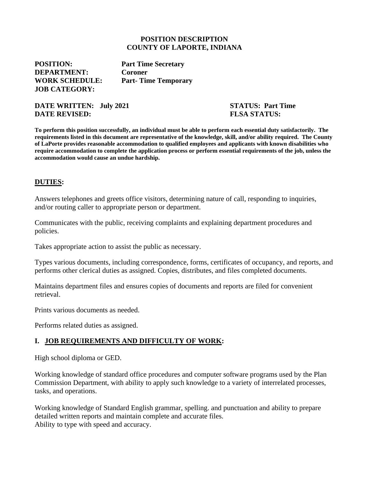#### **POSITION DESCRIPTION COUNTY OF LAPORTE, INDIANA**

**POSITION: Part Time Secretary DEPARTMENT: Coroner JOB CATEGORY:** 

**WORK SCHEDULE: Part- Time Temporary**

**DATE WRITTEN: July 2021 STATUS: Part Time DATE REVISED:** FLSA STATUS:

**To perform this position successfully, an individual must be able to perform each essential duty satisfactorily. The requirements listed in this document are representative of the knowledge, skill, and/or ability required. The County of LaPorte provides reasonable accommodation to qualified employees and applicants with known disabilities who require accommodation to complete the application process or perform essential requirements of the job, unless the accommodation would cause an undue hardship.**

#### **DUTIES:**

Answers telephones and greets office visitors, determining nature of call, responding to inquiries, and/or routing caller to appropriate person or department.

Communicates with the public, receiving complaints and explaining department procedures and policies.

Takes appropriate action to assist the public as necessary.

Types various documents, including correspondence, forms, certificates of occupancy, and reports, and performs other clerical duties as assigned. Copies, distributes, and files completed documents.

Maintains department files and ensures copies of documents and reports are filed for convenient retrieval.

Prints various documents as needed.

Performs related duties as assigned.

# **I. JOB REQUIREMENTS AND DIFFICULTY OF WORK:**

High school diploma or GED.

Working knowledge of standard office procedures and computer software programs used by the Plan Commission Department, with ability to apply such knowledge to a variety of interrelated processes, tasks, and operations.

Working knowledge of Standard English grammar, spelling. and punctuation and ability to prepare detailed written reports and maintain complete and accurate files. Ability to type with speed and accuracy.